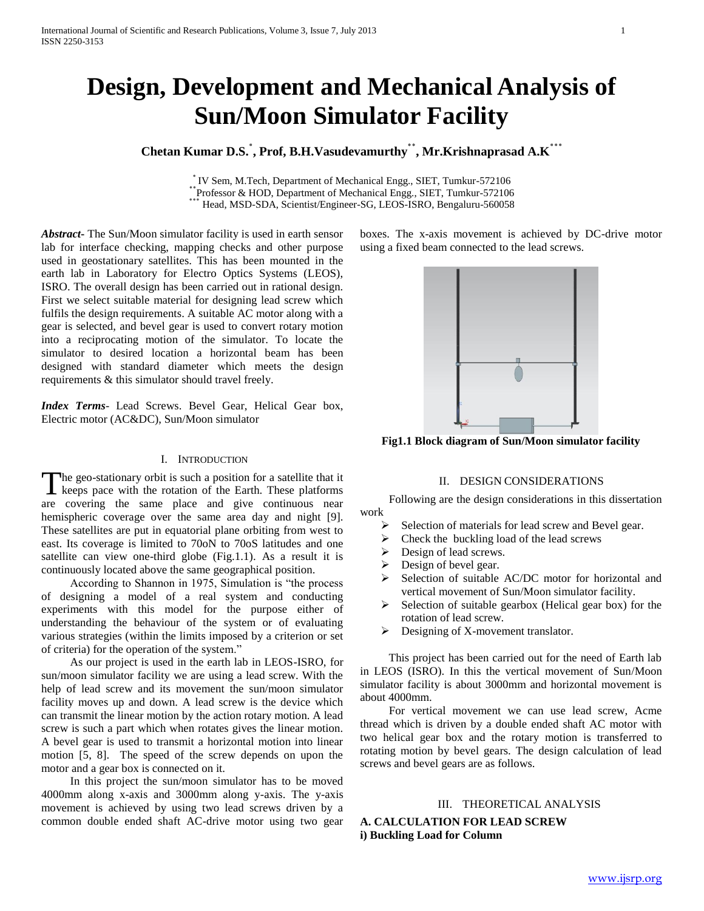# **Design, Development and Mechanical Analysis of Sun/Moon Simulator Facility**

# **Chetan Kumar D.S.٭ , Prof, B.H.Vasudevamurthy٭٭ , Mr.Krishnaprasad A.K٭٭٭**

٭ IV Sem, M.Tech, Department of Mechanical Engg., SIET, Tumkur-572106 <sup>•</sup> • Selli, M. Fech, Department of Mechanical Engg., SIET, Tumkur-572106<br><sup>•</sup> Professor & HOD, Department of Mechanical Engg., SIET, Tumkur-572106 ٭٭٭ Head, MSD-SDA, Scientist/Engineer-SG, LEOS-ISRO, Bengaluru-560058

*Abstract***-** The Sun/Moon simulator facility is used in earth sensor lab for interface checking, mapping checks and other purpose used in geostationary satellites. This has been mounted in the earth lab in Laboratory for Electro Optics Systems (LEOS), ISRO. The overall design has been carried out in rational design. First we select suitable material for designing lead screw which fulfils the design requirements. A suitable AC motor along with a gear is selected, and bevel gear is used to convert rotary motion into a reciprocating motion of the simulator. To locate the simulator to desired location a horizontal beam has been designed with standard diameter which meets the design requirements & this simulator should travel freely.

*Index Terms*- Lead Screws. Bevel Gear, Helical Gear box, Electric motor (AC&DC), Sun/Moon simulator

# I. INTRODUCTION

The geo-stationary orbit is such a position for a satellite that it The geo-stationary orbit is such a position for a satellite that it keeps pace with the rotation of the Earth. These platforms are covering the same place and give continuous near hemispheric coverage over the same area day and night [9]. These satellites are put in equatorial plane orbiting from west to east. Its coverage is limited to 70oN to 70oS latitudes and one satellite can view one-third globe (Fig.1.1). As a result it is continuously located above the same geographical position.

 According to Shannon in 1975, Simulation is "the process of designing a model of a real system and conducting experiments with this model for the purpose either of understanding the behaviour of the system or of evaluating various strategies (within the limits imposed by a criterion or set of criteria) for the operation of the system."

 As our project is used in the earth lab in LEOS-ISRO, for sun/moon simulator facility we are using a lead screw. With the help of lead screw and its movement the sun/moon simulator facility moves up and down. A lead screw is the device which can transmit the linear motion by the action rotary motion. A lead screw is such a part which when rotates gives the linear motion. A bevel gear is used to transmit a horizontal motion into linear motion [5, 8]. The speed of the screw depends on upon the motor and a gear box is connected on it.

 In this project the sun/moon simulator has to be moved 4000mm along x-axis and 3000mm along y-axis. The y-axis movement is achieved by using two lead screws driven by a common double ended shaft AC-drive motor using two gear boxes. The x-axis movement is achieved by DC-drive motor using a fixed beam connected to the lead screws.



**Fig1.1 Block diagram of Sun/Moon simulator facility**

# II. DESIGN CONSIDERATIONS

 Following are the design considerations in this dissertation work

- $\triangleright$  Selection of materials for lead screw and Bevel gear.
- $\triangleright$  Check the buckling load of the lead screws
- $\triangleright$  Design of lead screws.
- $\triangleright$  Design of bevel gear.
- $\triangleright$  Selection of suitable AC/DC motor for horizontal and vertical movement of Sun/Moon simulator facility.
- $\triangleright$  Selection of suitable gearbox (Helical gear box) for the rotation of lead screw.
- $\triangleright$  Designing of X-movement translator.

 This project has been carried out for the need of Earth lab in LEOS (ISRO). In this the vertical movement of Sun/Moon simulator facility is about 3000mm and horizontal movement is about 4000mm.

 For vertical movement we can use lead screw, Acme thread which is driven by a double ended shaft AC motor with two helical gear box and the rotary motion is transferred to rotating motion by bevel gears. The design calculation of lead screws and bevel gears are as follows.

# III. THEORETICAL ANALYSIS

**A. CALCULATION FOR LEAD SCREW i) Buckling Load for Column**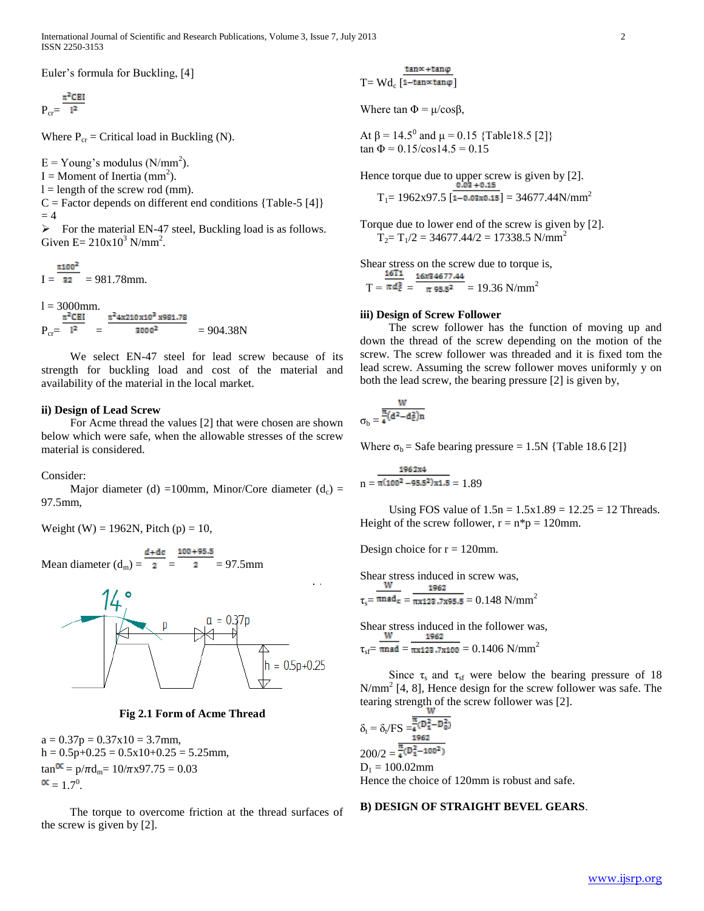International Journal of Scientific and Research Publications, Volume 3, Issue 7, July 2013 2 ISSN 2250-3153

Euler's formula for Buckling, [4]

 $P_{cr}=\frac{\pi^2 CEI}{l^2}$ 

Where  $P_{cr}$  = Critical load in Buckling (N).

 $E =$  Young's modulus (N/mm<sup>2</sup>).  $I =$  Moment of Inertia (mm<sup>2</sup>).  $l =$  length of the screw rod (mm).  $C =$  Factor depends on different end conditions {Table-5 [4]}  $= 4$ 

 $\triangleright$  For the material EN-47 steel, Buckling load is as follows. Given  $E = 210x10^3$  N/mm<sup>2</sup>.

 $\pi 100^2$  $I = 32 = 981.78$ mm.

 $l = 3000$ mm.  $\pi^2$ 4x210x10<sup>3</sup>x981.78  $P_{cr} = 1^2 = 3000^2 = 904.38N$ 

 We select EN-47 steel for lead screw because of its strength for buckling load and cost of the material and availability of the material in the local market.

# **ii) Design of Lead Screw**

 For Acme thread the values [2] that were chosen are shown below which were safe, when the allowable stresses of the screw material is considered.

Consider:

Major diameter (d) =100mm, Minor/Core diameter (d<sub>c</sub>) = 97.5mm,

Weight (W) = 1962N, Pitch (p) = 10,

 $d + dc = 100 + 95.5$ Mean diameter  $(d_m) = \overline{2} = 2 = 97.5$ mm



**Fig 2.1 Form of Acme Thread**

 $a = 0.37p = 0.37x10 = 3.7$ mm,  $h = 0.5p+0.25 = 0.5x10+0.25 = 5.25$ mm,  $\tan \frac{\alpha}{\alpha} = p/\pi d_m = 10/\pi x 97.75 = 0.03$  $= 1.7^0$ .

 The torque to overcome friction at the thread surfaces of the screw is given by [2].

 $tan \alpha + tan \varphi$ T=  $\text{Wd}_{\text{c}}$  [1-tan $\propto$ tan $\varphi$ ]

Where  $\tan \Phi = \mu / \cos \beta$ ,

At  $\beta$  = 14.5<sup>0</sup> and  $\mu$  = 0.15 {Table18.5 [2]}  $\tan \Phi = 0.15/\cos 14.5 = 0.15$ 

Hence torque due to upper screw is given by [2].<br> $0.03 + 0.15$  $T_1$  = 1962x97.5 [1-0.03x0.15] = 34677.44N/mm<sup>2</sup>

Torque due to lower end of the screw is given by [2].

 $T_2 = T_1/2 = 34677.44/2 = 17338.5$  N/mm<sup>2</sup>

Shear stress on the screw due to torque is,<br> $\frac{16T_1}{16x34677.44}$ 

 $T = \pi d_{\epsilon}^3 = \frac{\pi}{\pi 95.5^2} = 19.36$  N/mm<sup>2</sup>

# **iii) Design of Screw Follower**

 The screw follower has the function of moving up and down the thread of the screw depending on the motion of the screw. The screw follower was threaded and it is fixed tom the lead screw. Assuming the screw follower moves uniformly y on both the lead screw, the bearing pressure [2] is given by,

$$
\sigma_b=\frac{\frac{W}{\pi(d^2-d_c^2)n}}{4}
$$

Where  $\sigma_b$  = Safe bearing pressure = 1.5N {Table 18.6 [2]}

$$
n = \frac{1962x4}{\pi (100^2 - 95.5^2)x1.5} = 1.89
$$

Using FOS value of  $1.5n = 1.5x1.89 = 12.25 = 12$  Threads. Height of the screw follower,  $r = n*p = 120$ mm.

Design choice for  $r = 120$ mm.

Shear stress induced in screw was,  

$$
\frac{W}{\tau_s = \frac{1962}{\pi x 123.7 x 95.5}} = 0.148 \text{ N/mm}^2
$$

Shear stress induced in the follower was,<br> $\frac{W}{\sqrt{1962}}$  $\tau_{\text{cf}} = \overline{\text{mrad}} = \overline{\text{m}x123.7x100} = 0.1406 \text{ N/mm}^2$ 

Since  $\tau_s$  and  $\tau_{sf}$  were below the bearing pressure of 18 N/mm<sup>2</sup> [4, 8], Hence design for the screw follower was safe. The tearing strength of the screw follower was [2].

$$
\delta_t = \delta_t / FS = \frac{\frac{\overline{\pi}(D_1^2 - D_0^2)}{1962}}{1962}
$$
  
200/2 =  $\frac{\overline{\pi}(D_1^2 - 100^2)}{4(D_1^2 - 100^2)}$   
D<sub>1</sub> = 100.02mm  
Hence the choice of 120mm is robust and safe.

# **B) DESIGN OF STRAIGHT BEVEL GEARS**.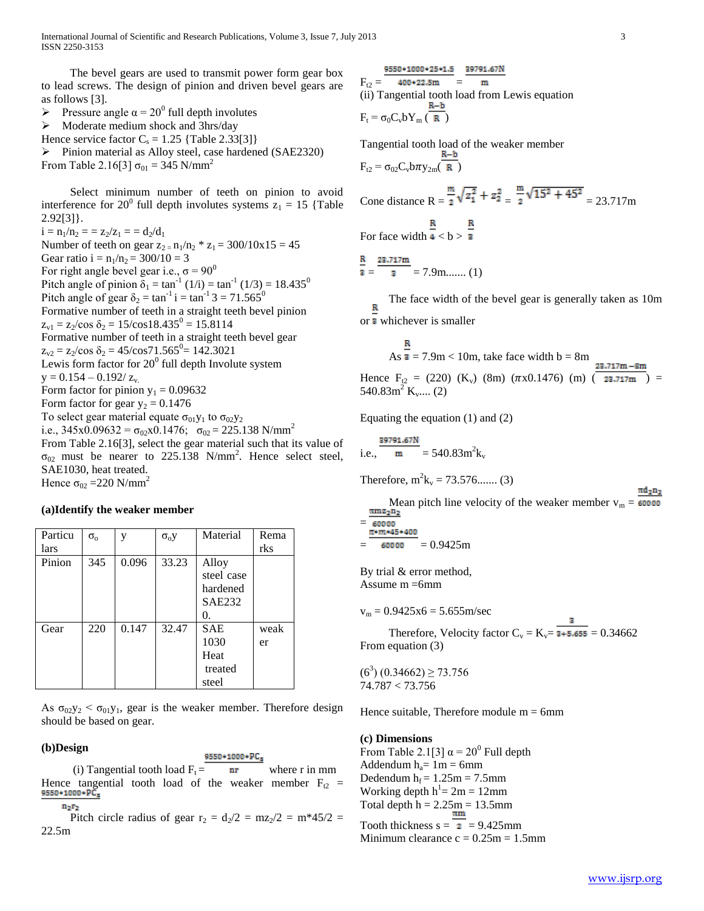International Journal of Scientific and Research Publications, Volume 3, Issue 7, July 2013 3 ISSN 2250-3153

 The bevel gears are used to transmit power form gear box to lead screws. The design of pinion and driven bevel gears are as follows [3].

Pressure angle  $\alpha = 20^{\circ}$  full depth involutes

 $\triangleright$  Moderate medium shock and 3hrs/day Hence service factor  $C_s = 1.25$  {Table 2.33[3]} Pinion material as Alloy steel, case hardened (SAE2320) From Table 2.16[3]  $\sigma_{01} = 345$  N/mm<sup>2</sup>

 Select minimum number of teeth on pinion to avoid interference for 20<sup>0</sup> full depth involutes systems  $z_1 = 15$  {Table 2.92[3]}.

 $i = n_1/n_2 = z_2/z_1 = d_2/d_1$ Number of teeth on gear  $z_{2} = n_1/n_2 * z_1 = 300/10x15 = 45$ Gear ratio i =  $n_1/n_2 = 300/10 = 3$ For right angle bevel gear i.e.,  $\sigma = 90^\circ$ Pitch angle of pinion  $\delta_1 = \tan^{-1}(1/i) = \tan^{-1}(1/3) = 18.435^0$ Pitch angle of gear  $\delta_2 = \tan^{-1} i = \tan^{-1} 3 = 71.565^{\circ}$ Formative number of teeth in a straight teeth bevel pinion  $z_{\rm v1} = z_2/\cos \delta_2 = 15/\cos 18.435^\circ = 15.8114$ Formative number of teeth in a straight teeth bevel gear  $z_{\text{v2}} = z_2/\cos \delta_2 = 45/\cos 71.565^\circ = 142.3021$ Lewis form factor for  $20^0$  full depth Involute system  $y = 0.154 - 0.192 / z_v$ . Form factor for pinion  $y_1 = 0.09632$ Form factor for gear  $y_2 = 0.1476$ To select gear material equate  $\sigma_{01}y_1$  to  $\sigma_{02}y_2$ i.e., 345x0.09632 =  $\sigma_{02}$ x0.1476;  $\sigma_{02}$  = 225.138 N/mm<sup>2</sup> From Table 2.16[3], select the gear material such that its value of  $\sigma_{02}$  must be nearer to 225.138 N/mm<sup>2</sup>. Hence select steel, SAE1030, heat treated. Hence  $\sigma_{02}$  =220 N/mm<sup>2</sup>

#### **(a)Identify the weaker member**

| Particu | $\sigma_{\rm o}$ | V     | $\sigma_0$ y | Material      | Rema |
|---------|------------------|-------|--------------|---------------|------|
| lars    |                  |       |              |               | rks  |
| Pinion  | 345              | 0.096 | 33.23        | Alloy         |      |
|         |                  |       |              | steel case    |      |
|         |                  |       |              | hardened      |      |
|         |                  |       |              | <b>SAE232</b> |      |
|         |                  |       |              | O.            |      |
| Gear    | 220              | 0.147 | 32.47        | <b>SAE</b>    | weak |
|         |                  |       |              | 1030          | er   |
|         |                  |       |              | Heat          |      |
|         |                  |       |              | treated       |      |
|         |                  |       |              | steel         |      |

As  $\sigma_{02}y_2 < \sigma_{01}y_1$ , gear is the weaker member. Therefore design should be based on gear.

#### **(b)Design**

### 9550+1000+PCs

(i) Tangential tooth load  $F_t =$  nr where r in mm Hence tangential tooth load of the weaker member  $F_{t2}$  = 9550\*1000\*PC<sub>5</sub>  $n_2r_2$ 

Pitch circle radius of gear  $r_2 = d_2/2 = mz_2/2 = m*45/2 =$ 22.5m

# $9550*1000*25*1.5$  39791.67N  $F_{t2} = 400*22.5m =$  $\mathbf{m}$ (ii) Tangential tooth load from Lewis equation  $R-b$  $F_t = \sigma_0 C_v b Y_m (\overline{R})$

Tangential tooth load of the weaker member R-b  $F_{t2} = \sigma_{02} C_v b \pi y_{2m}(\overline{R})$ 

Cone distance 
$$
R = \frac{m}{2}\sqrt{z_1^2} + z_2^2 = \frac{m}{2}\sqrt{15^2 + 45^2} = 23.717m
$$

For face width  $\frac{R}{4} < b > \frac{R}{3}$ 

23,717m  $\mathbf{a} = \mathbf{a} = 7.9$ m........ (1)

**D** 

The face width of the bevel gear is generally taken as 10m or **a** whichever is smaller

As 
$$
\frac{2}{3}
$$
 = 7.9m < 10m, take face width b = 8m  
\nHence F<sub>12</sub> = (220) (K<sub>v</sub>) (8m) ( $\pi$ x0.1476) (m) ( $\frac{23.717m - 8m}{23.717m}$ ) = 540.83m<sup>2</sup> K<sub>v</sub>.... (2)

Equating the equation (1) and (2)

i.e., 
$$
\frac{39791.67N}{m} = 540.83m^2k_v
$$

Therefore,  $m^2 k_v = 73.576$ ....... (3)

Mean pitch line velocity of the weaker member 
$$
v_m = \frac{\pi m z_2 n_2}{60000}
$$
  
=  $\frac{\pi * m * 45 * 400}{60000}$   
= 60000 = 0.9425m

By trial & error method, Assume m =6mm

 $v_m = 0.9425x6 = 5.655m/sec$ 

Therefore, Velocity factor  $C_v = K_v = \frac{1}{3 + 5.655} = 0.34662$ From equation (3)

 $(6^3)$   $(0.34662) \ge 73.756$ 74.787 < 73.756

Hence suitable, Therefore module  $m = 6$ mm

#### **(c) Dimensions**

From Table 2.1[3]  $\alpha = 20^{\circ}$  Full depth Addendum  $h_a = 1m = 6m$ Dedendum  $h_f = 1.25m = 7.5mm$ Working depth  $h^1 = 2m = 12$ mm Total depth  $h = 2.25m = 13.5mm$ 

Tooth thickness  $s = \overline{2} = 9.425$ mm Minimum clearance  $c = 0.25m = 1.5mm$   $\pi d$ -n-